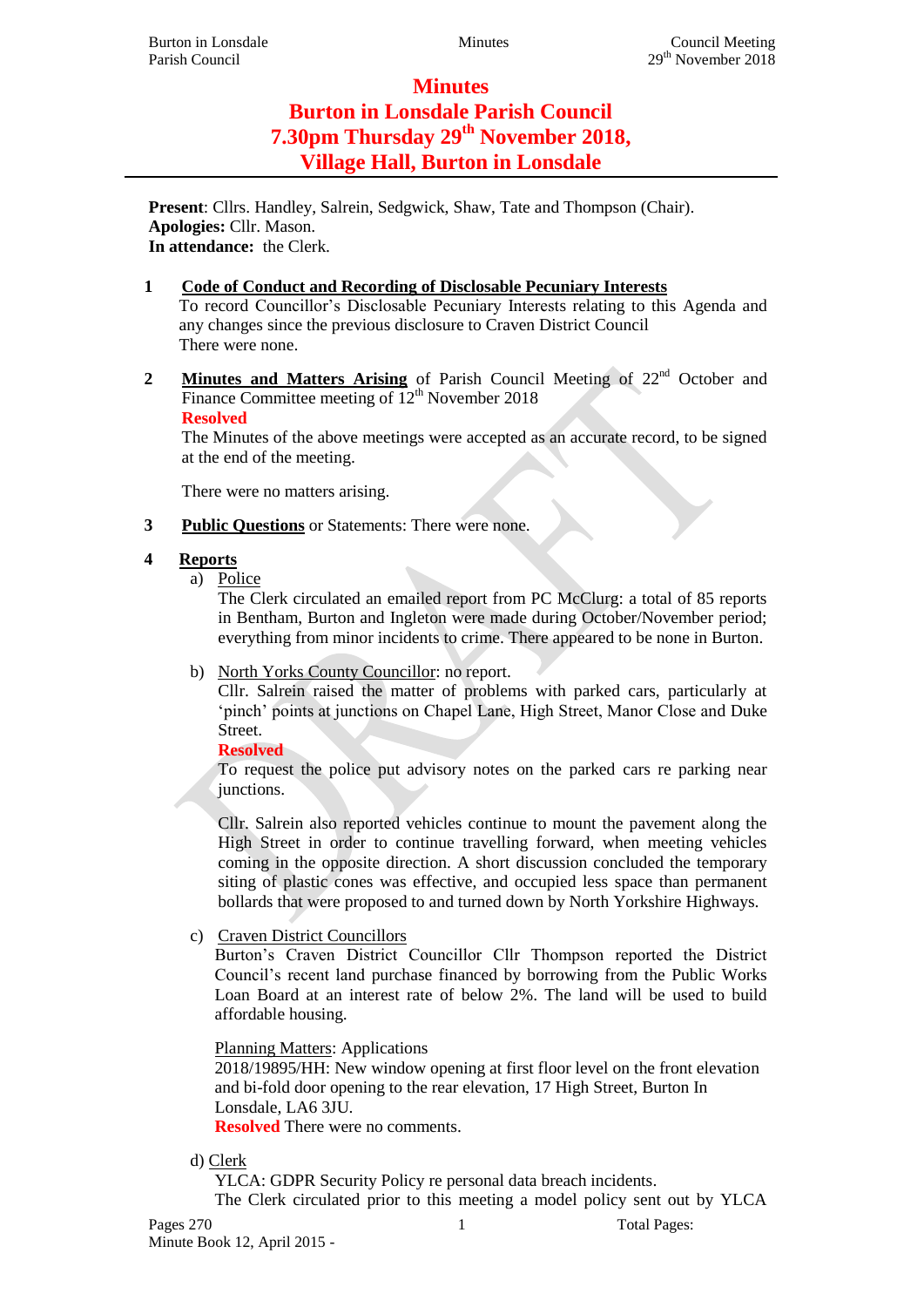# **Minutes Burton in Lonsdale Parish Council 7.30pm Thursday 29th November 2018, Village Hall, Burton in Lonsdale**

**Present**: Cllrs. Handley, Salrein, Sedgwick, Shaw, Tate and Thompson (Chair). **Apologies:** Cllr. Mason. **In attendance:** the Clerk.

## **1 Code of Conduct and Recording of Disclosable Pecuniary Interests**

To record Councillor's Disclosable Pecuniary Interests relating to this Agenda and any changes since the previous disclosure to Craven District Council There were none.

**2 Minutes and Matters Arising** of Parish Council Meeting of 22<sup>nd</sup> October and Finance Committee meeting of  $12<sup>th</sup>$  November 2018 **Resolved**

The Minutes of the above meetings were accepted as an accurate record, to be signed at the end of the meeting.

There were no matters arising.

**3 Public Questions** or Statements: There were none.

#### **4 Reports**

a) Police

The Clerk circulated an emailed report from PC McClurg: a total of 85 reports in Bentham, Burton and Ingleton were made during October/November period; everything from minor incidents to crime. There appeared to be none in Burton.

b) North Yorks County Councillor: no report.

Cllr. Salrein raised the matter of problems with parked cars, particularly at 'pinch' points at junctions on Chapel Lane, High Street, Manor Close and Duke Street.

**Resolved**

To request the police put advisory notes on the parked cars re parking near junctions.

Cllr. Salrein also reported vehicles continue to mount the pavement along the High Street in order to continue travelling forward, when meeting vehicles coming in the opposite direction. A short discussion concluded the temporary siting of plastic cones was effective, and occupied less space than permanent bollards that were proposed to and turned down by North Yorkshire Highways.

#### c) Craven District Councillors

Burton's Craven District Councillor Cllr Thompson reported the District Council's recent land purchase financed by borrowing from the Public Works Loan Board at an interest rate of below 2%. The land will be used to build affordable housing.

#### Planning Matters: Applications

2018/19895/HH: New window opening at first floor level on the front elevation and bi-fold door opening to the rear elevation, 17 High Street, Burton In Lonsdale, LA6 3JU.

**Resolved** There were no comments.

#### d) Clerk

YLCA: GDPR Security Policy re personal data breach incidents.

The Clerk circulated prior to this meeting a model policy sent out by YLCA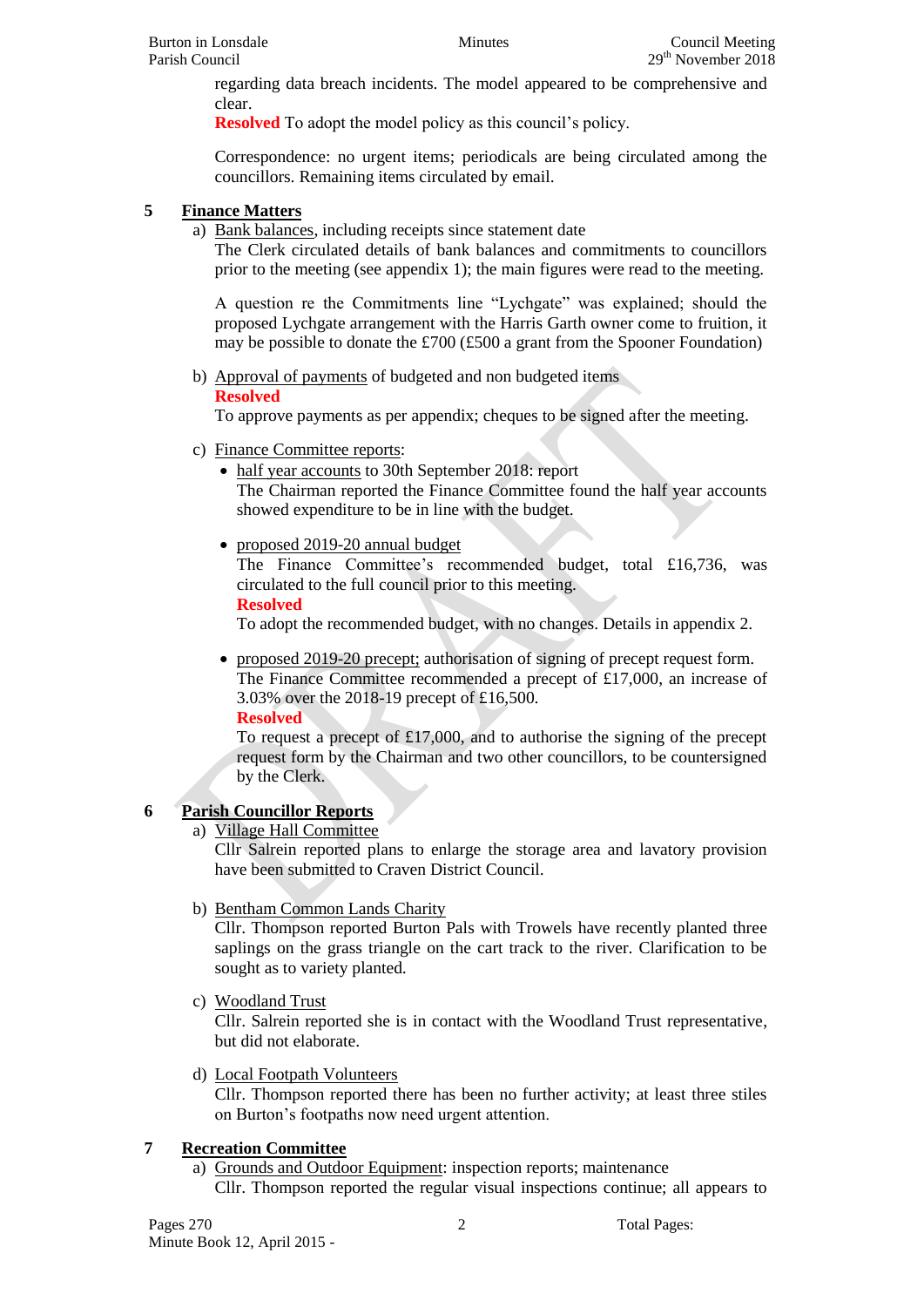regarding data breach incidents. The model appeared to be comprehensive and clear.

**Resolved** To adopt the model policy as this council's policy.

Correspondence: no urgent items; periodicals are being circulated among the councillors. Remaining items circulated by email.

### **5 Finance Matters**

a) Bank balances, including receipts since statement date

The Clerk circulated details of bank balances and commitments to councillors prior to the meeting (see appendix 1); the main figures were read to the meeting.

A question re the Commitments line "Lychgate" was explained; should the proposed Lychgate arrangement with the Harris Garth owner come to fruition, it may be possible to donate the £700 (£500 a grant from the Spooner Foundation)

b) Approval of payments of budgeted and non budgeted items

#### **Resolved**

To approve payments as per appendix; cheques to be signed after the meeting.

- c) Finance Committee reports:
	- half year accounts to 30th September 2018: report The Chairman reported the Finance Committee found the half year accounts showed expenditure to be in line with the budget.
	- proposed 2019-20 annual budget

The Finance Committee's recommended budget, total £16,736, was circulated to the full council prior to this meeting.

**Resolved**

To adopt the recommended budget, with no changes. Details in appendix 2.

 proposed 2019-20 precept; authorisation of signing of precept request form. The Finance Committee recommended a precept of £17,000, an increase of 3.03% over the 2018-19 precept of £16,500.

**Resolved**

To request a precept of £17,000, and to authorise the signing of the precept request form by the Chairman and two other councillors, to be countersigned by the Clerk.

## **6 Parish Councillor Reports**

a) Village Hall Committee

Cllr Salrein reported plans to enlarge the storage area and lavatory provision have been submitted to Craven District Council.

## b) Bentham Common Lands Charity

Cllr. Thompson reported Burton Pals with Trowels have recently planted three saplings on the grass triangle on the cart track to the river. Clarification to be sought as to variety planted.

c) Woodland Trust

Cllr. Salrein reported she is in contact with the Woodland Trust representative, but did not elaborate.

d) Local Footpath Volunteers

Cllr. Thompson reported there has been no further activity; at least three stiles on Burton's footpaths now need urgent attention.

## **7 Recreation Committee**

a) Grounds and Outdoor Equipment: inspection reports; maintenance Cllr. Thompson reported the regular visual inspections continue; all appears to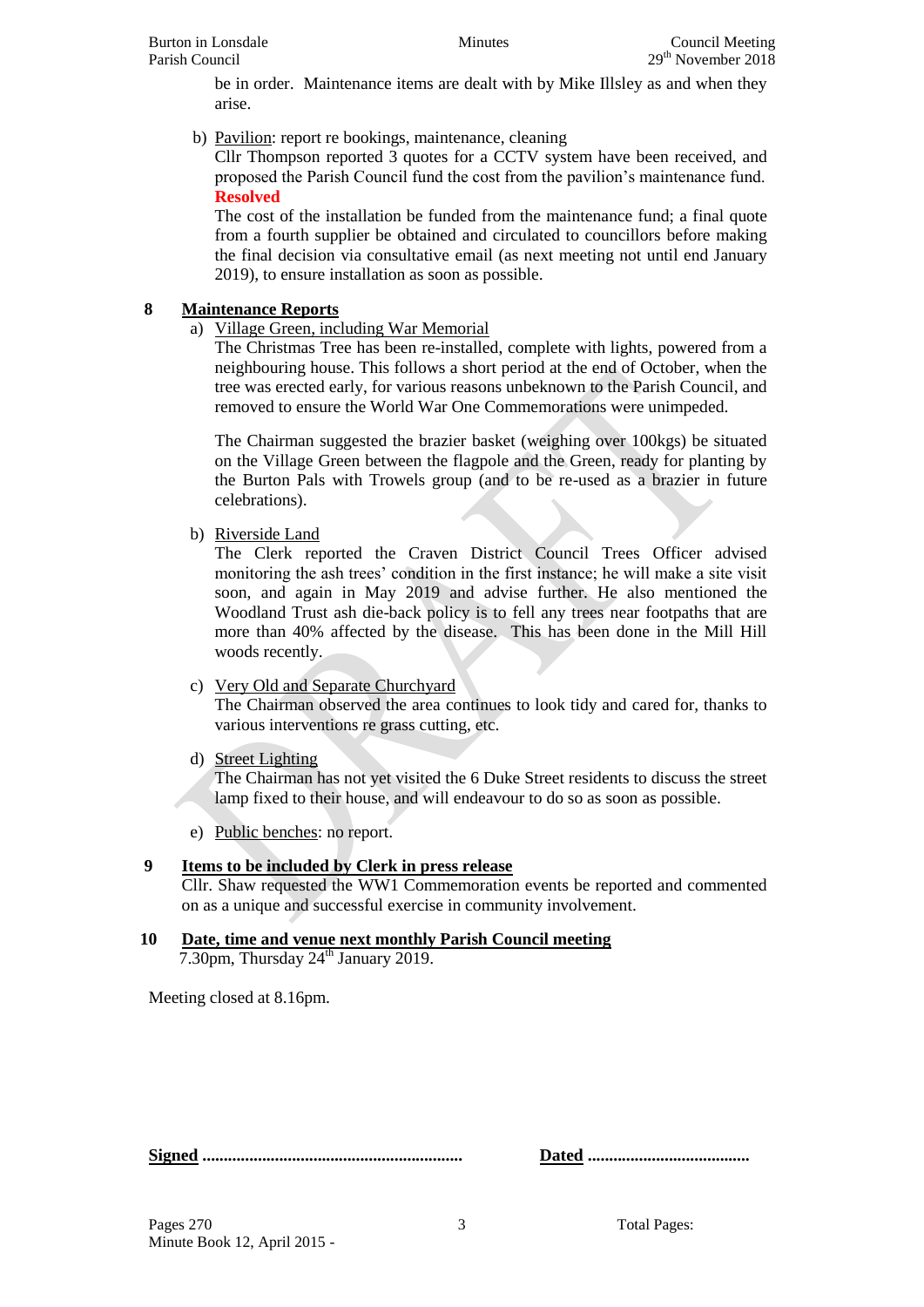be in order. Maintenance items are dealt with by Mike Illsley as and when they arise.

b) Pavilion: report re bookings, maintenance, cleaning

Cllr Thompson reported 3 quotes for a CCTV system have been received, and proposed the Parish Council fund the cost from the pavilion's maintenance fund. **Resolved**

The cost of the installation be funded from the maintenance fund; a final quote from a fourth supplier be obtained and circulated to councillors before making the final decision via consultative email (as next meeting not until end January 2019), to ensure installation as soon as possible.

### **8 Maintenance Reports**

a) Village Green, including War Memorial

The Christmas Tree has been re-installed, complete with lights, powered from a neighbouring house. This follows a short period at the end of October, when the tree was erected early, for various reasons unbeknown to the Parish Council, and removed to ensure the World War One Commemorations were unimpeded.

The Chairman suggested the brazier basket (weighing over 100kgs) be situated on the Village Green between the flagpole and the Green, ready for planting by the Burton Pals with Trowels group (and to be re-used as a brazier in future celebrations).

b) Riverside Land

The Clerk reported the Craven District Council Trees Officer advised monitoring the ash trees' condition in the first instance; he will make a site visit soon, and again in May 2019 and advise further. He also mentioned the Woodland Trust ash die-back policy is to fell any trees near footpaths that are more than 40% affected by the disease. This has been done in the Mill Hill woods recently.

#### c) Very Old and Separate Churchyard

The Chairman observed the area continues to look tidy and cared for, thanks to various interventions re grass cutting, etc.

d) Street Lighting

The Chairman has not yet visited the 6 Duke Street residents to discuss the street lamp fixed to their house, and will endeavour to do so as soon as possible.

e) Public benches: no report.

## **9 Items to be included by Clerk in press release**

Cllr. Shaw requested the WW1 Commemoration events be reported and commented on as a unique and successful exercise in community involvement.

#### **10 Date, time and venue next monthly Parish Council meeting**  $7.30$ pm, Thursday  $24<sup>th</sup>$  January 2019.

Meeting closed at 8.16pm.

**Signed ............................................................. Dated ......................................**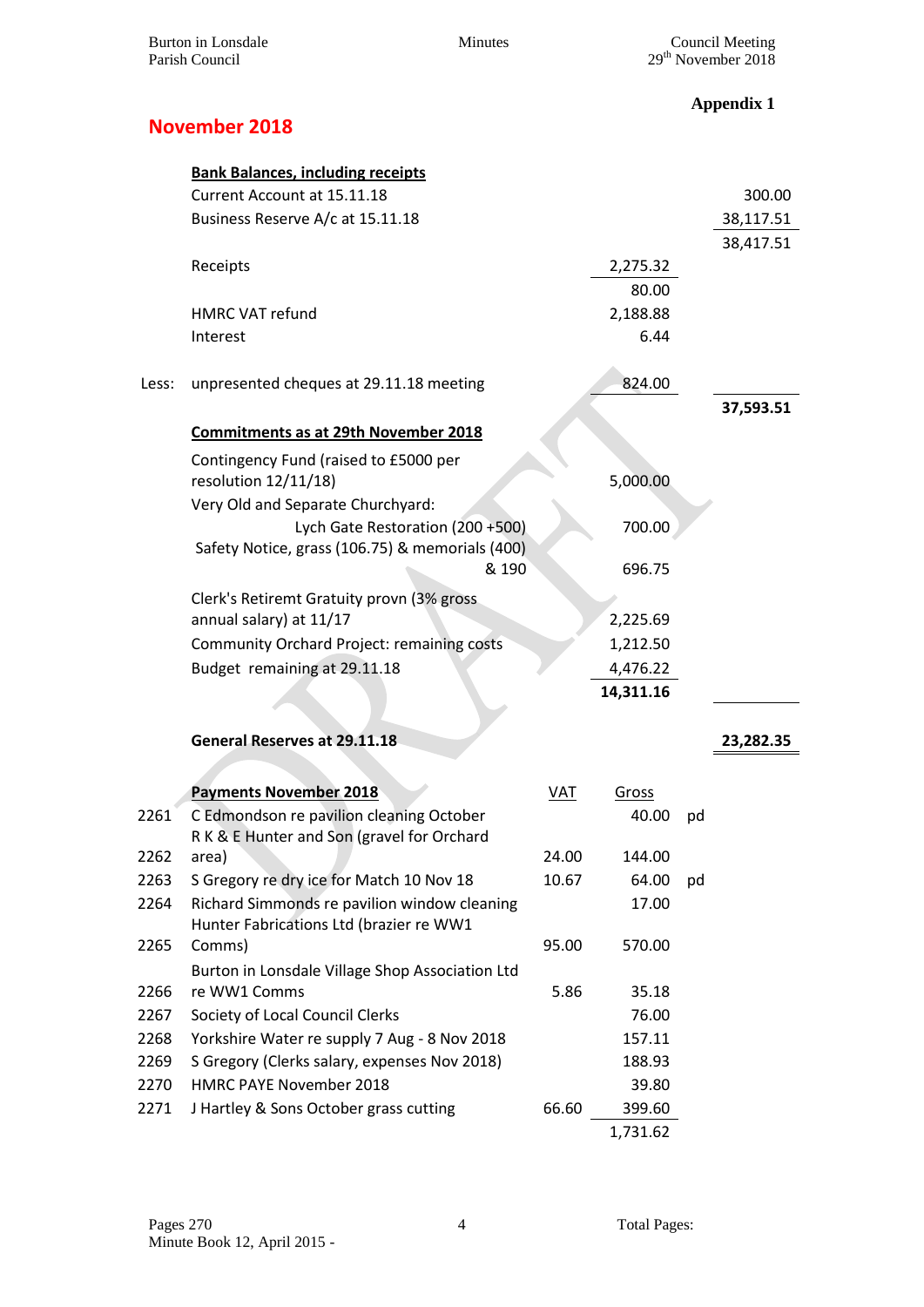**Appendix 1**

# **November 2018**

|       | <b>Bank Balances, including receipts</b>          |            |           |    |           |
|-------|---------------------------------------------------|------------|-----------|----|-----------|
|       | Current Account at 15.11.18                       |            |           |    | 300.00    |
|       | Business Reserve A/c at 15.11.18                  |            |           |    | 38,117.51 |
|       |                                                   |            |           |    | 38,417.51 |
|       | Receipts                                          |            | 2,275.32  |    |           |
|       |                                                   |            | 80.00     |    |           |
|       | <b>HMRC VAT refund</b>                            |            | 2,188.88  |    |           |
|       | Interest                                          |            | 6.44      |    |           |
|       |                                                   |            |           |    |           |
| Less: | unpresented cheques at 29.11.18 meeting           |            | 824.00    |    |           |
|       |                                                   |            |           |    | 37,593.51 |
|       | <b>Commitments as at 29th November 2018</b>       |            |           |    |           |
|       | Contingency Fund (raised to £5000 per             |            |           |    |           |
|       | resolution 12/11/18)                              |            | 5,000.00  |    |           |
|       | Very Old and Separate Churchyard:                 |            |           |    |           |
|       | Lych Gate Restoration (200 +500)                  |            | 700.00    |    |           |
|       | Safety Notice, grass (106.75) & memorials (400)   |            |           |    |           |
|       | & 190                                             |            | 696.75    |    |           |
|       | Clerk's Retiremt Gratuity provn (3% gross         |            |           |    |           |
|       | annual salary) at 11/17                           |            | 2,225.69  |    |           |
|       | Community Orchard Project: remaining costs        |            | 1,212.50  |    |           |
|       | Budget remaining at 29.11.18                      |            | 4,476.22  |    |           |
|       |                                                   |            | 14,311.16 |    |           |
|       |                                                   |            |           |    |           |
|       | <b>General Reserves at 29.11.18</b>               |            |           |    | 23,282.35 |
|       |                                                   |            |           |    |           |
|       | <b>Payments November 2018</b>                     | <b>VAT</b> | Gross     |    |           |
| 2261  | C Edmondson re pavilion cleaning October          |            | 40.00     | pd |           |
|       | R K & E Hunter and Son (gravel for Orchard        |            |           |    |           |
| 2262  | area)                                             | 24.00      | 144.00    |    |           |
| 2263  | S Gregory re dry ice for Match 10 Nov 18          | 10.67      | 64.00     | pd |           |
| 2264  | Richard Simmonds re pavilion window cleaning      |            | 17.00     |    |           |
| 2265  | Hunter Fabrications Ltd (brazier re WW1<br>Comms) | 95.00      | 570.00    |    |           |
|       | Burton in Lonsdale Village Shop Association Ltd   |            |           |    |           |
| 2266  | re WW1 Comms                                      | 5.86       | 35.18     |    |           |
| 2267  | Society of Local Council Clerks                   |            | 76.00     |    |           |
| 2268  | Yorkshire Water re supply 7 Aug - 8 Nov 2018      |            | 157.11    |    |           |
| 2269  | S Gregory (Clerks salary, expenses Nov 2018)      |            | 188.93    |    |           |
| 2270  | HMRC PAYE November 2018                           |            | 39.80     |    |           |
| 2271  | J Hartley & Sons October grass cutting            | 66.60      | 399.60    |    |           |
|       |                                                   |            | 1,731.62  |    |           |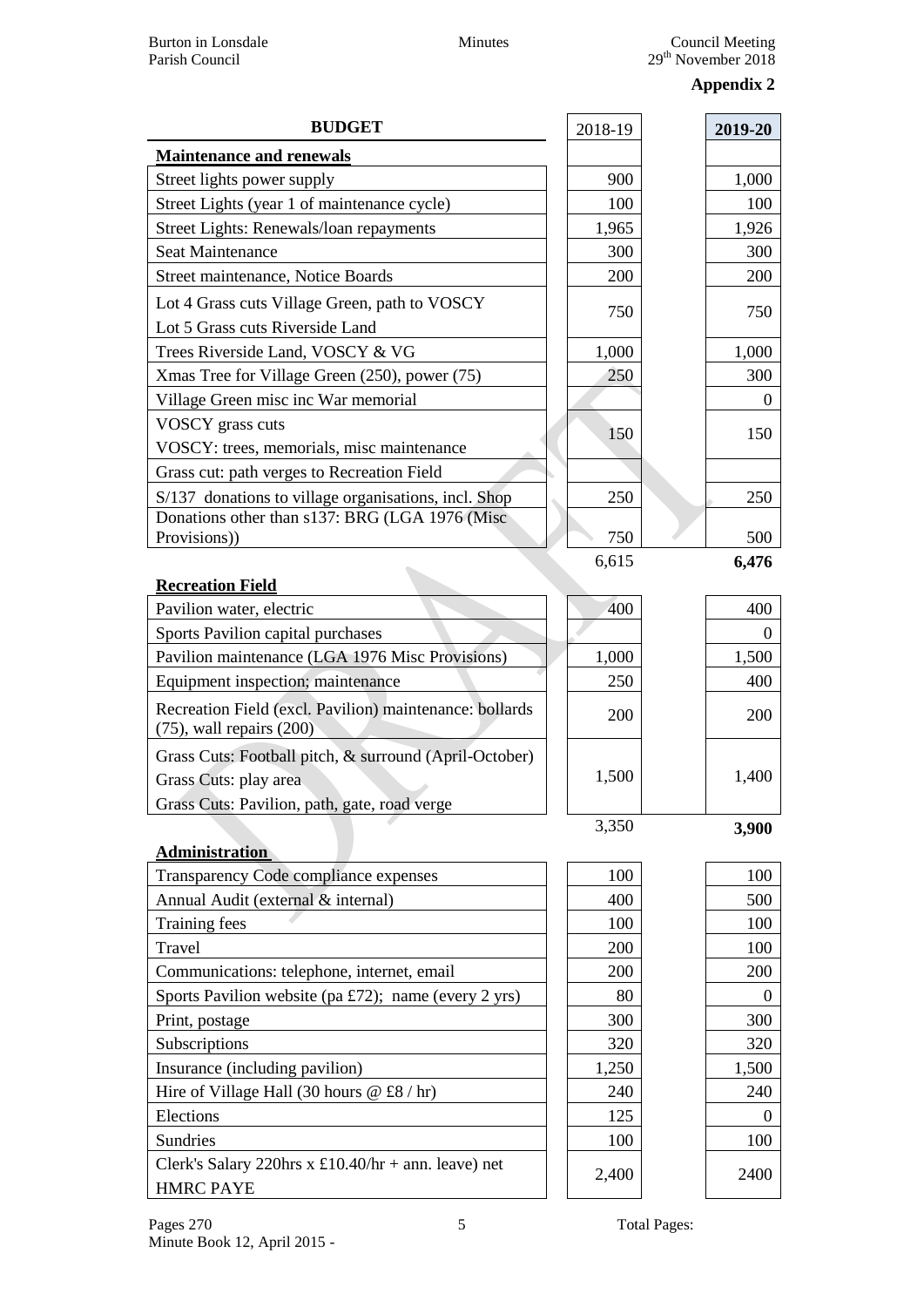## **Appendix 2**

| <b>BUDGET</b>                                                                            | 2018-19 | 2019-20  |
|------------------------------------------------------------------------------------------|---------|----------|
| <b>Maintenance and renewals</b>                                                          |         |          |
| Street lights power supply                                                               | 900     | 1,000    |
| Street Lights (year 1 of maintenance cycle)                                              | 100     | 100      |
| Street Lights: Renewals/loan repayments                                                  | 1,965   | 1,926    |
| Seat Maintenance                                                                         | 300     | 300      |
| Street maintenance, Notice Boards                                                        | 200     | 200      |
| Lot 4 Grass cuts Village Green, path to VOSCY                                            | 750     | 750      |
| Lot 5 Grass cuts Riverside Land                                                          |         |          |
| Trees Riverside Land, VOSCY & VG                                                         | 1,000   | 1,000    |
| Xmas Tree for Village Green (250), power (75)                                            | 250     | 300      |
| Village Green misc inc War memorial                                                      |         | $\theta$ |
| VOSCY grass cuts                                                                         | 150     | 150      |
| VOSCY: trees, memorials, misc maintenance                                                |         |          |
| Grass cut: path verges to Recreation Field                                               |         |          |
| S/137 donations to village organisations, incl. Shop                                     | 250     | 250      |
| Donations other than s137: BRG (LGA 1976 (Misc)                                          |         |          |
| Provisions))                                                                             | 750     | 500      |
| <b>Recreation Field</b>                                                                  | 6,615   | 6,476    |
| Pavilion water, electric                                                                 | 400     | 400      |
| Sports Pavilion capital purchases                                                        |         | $\theta$ |
| Pavilion maintenance (LGA 1976 Misc Provisions)                                          | 1,000   | 1,500    |
| Equipment inspection; maintenance                                                        | 250     | 400      |
| Recreation Field (excl. Pavilion) maintenance: bollards<br>$(75)$ , wall repairs $(200)$ | 200     | 200      |
| Grass Cuts: Football pitch, & surround (April-October)                                   |         |          |
| Grass Cuts: play area                                                                    | 1,500   | 1,400    |
| Grass Cuts: Pavilion, path, gate, road verge                                             |         |          |
|                                                                                          | 3,350   | 3,900    |
| <b>Administration</b>                                                                    |         |          |
| Transparency Code compliance expenses                                                    | 100     | 100      |
| Annual Audit (external & internal)                                                       | 400     | 500      |
| Training fees                                                                            | 100     | 100      |
| Travel                                                                                   | 200     | 100      |
| Communications: telephone, internet, email                                               | 200     | 200      |
| Sports Pavilion website (pa £72); name (every 2 yrs)                                     | 80      | $\theta$ |
| Print, postage                                                                           | 300     | 300      |
| Subscriptions                                                                            | 320     | 320      |
| Insurance (including pavilion)                                                           | 1,250   | 1,500    |
| Hire of Village Hall (30 hours $@f8/hr)$                                                 | 240     | 240      |
| Elections                                                                                | 125     | $\theta$ |
| Sundries                                                                                 | 100     | 100      |
| Clerk's Salary 220hrs x £10.40/hr + ann. leave) net<br><b>HMRC PAYE</b>                  | 2,400   | 2400     |
|                                                                                          |         |          |